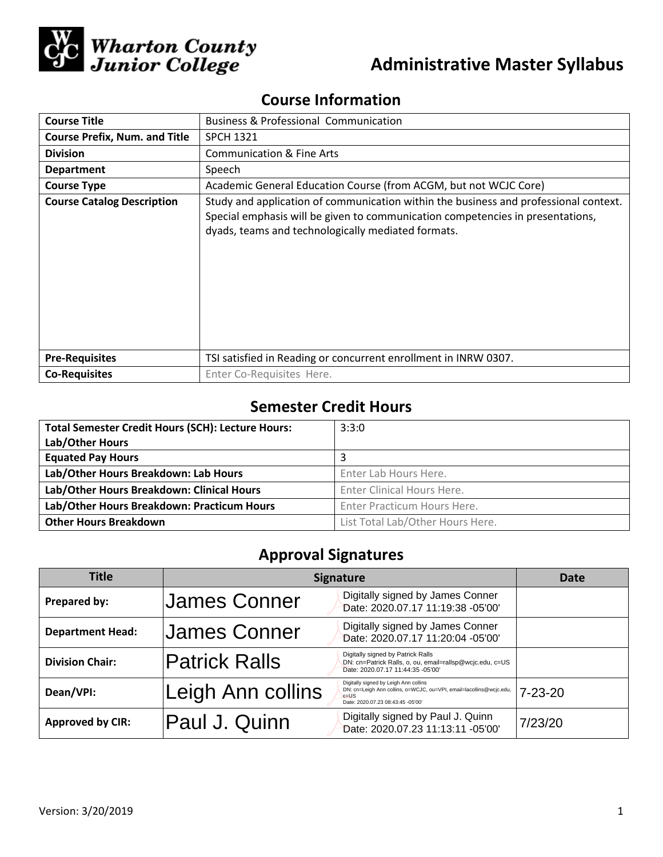

# **Administrative Master Syllabus**

## **Course Information**

| <b>Course Title</b>                  | <b>Business &amp; Professional Communication</b>                                                                                                                                                                             |  |  |
|--------------------------------------|------------------------------------------------------------------------------------------------------------------------------------------------------------------------------------------------------------------------------|--|--|
| <b>Course Prefix, Num. and Title</b> | <b>SPCH 1321</b>                                                                                                                                                                                                             |  |  |
| <b>Division</b>                      | <b>Communication &amp; Fine Arts</b>                                                                                                                                                                                         |  |  |
| <b>Department</b>                    | Speech                                                                                                                                                                                                                       |  |  |
| <b>Course Type</b>                   | Academic General Education Course (from ACGM, but not WCJC Core)                                                                                                                                                             |  |  |
| <b>Course Catalog Description</b>    | Study and application of communication within the business and professional context.<br>Special emphasis will be given to communication competencies in presentations,<br>dyads, teams and technologically mediated formats. |  |  |
| <b>Pre-Requisites</b>                | TSI satisfied in Reading or concurrent enrollment in INRW 0307.                                                                                                                                                              |  |  |
| <b>Co-Requisites</b>                 | Enter Co-Requisites Here.                                                                                                                                                                                                    |  |  |

## **Semester Credit Hours**

| <b>Total Semester Credit Hours (SCH): Lecture Hours:</b> | 3:3:0                            |
|----------------------------------------------------------|----------------------------------|
| Lab/Other Hours                                          |                                  |
| <b>Equated Pay Hours</b>                                 | 3                                |
| Lab/Other Hours Breakdown: Lab Hours                     | Enter Lab Hours Here.            |
| Lab/Other Hours Breakdown: Clinical Hours                | Enter Clinical Hours Here.       |
| Lab/Other Hours Breakdown: Practicum Hours               | Enter Practicum Hours Here.      |
| <b>Other Hours Breakdown</b>                             | List Total Lab/Other Hours Here. |

## **Approval Signatures**

| Title                   | <b>Signature</b>     |                                                                                                                                                               | Date          |
|-------------------------|----------------------|---------------------------------------------------------------------------------------------------------------------------------------------------------------|---------------|
| Prepared by:            | James Conner         | Digitally signed by James Conner<br>Date: 2020.07.17 11:19:38 -05'00'                                                                                         |               |
| <b>Department Head:</b> | James Conner         | Digitally signed by James Conner<br>Date: 2020.07.17 11:20:04 -05'00'                                                                                         |               |
| <b>Division Chair:</b>  | <b>Patrick Ralls</b> | Digitally signed by Patrick Ralls<br>DN: cn=Patrick Ralls, o, ou, email=rallsp@wcjc.edu, c=US<br>Date: 2020.07.17 11:44:35 -05'00'                            |               |
| Dean/VPI:               | Leigh Ann collins    | Digitally signed by Leigh Ann collins<br>DN: cn=Leigh Ann collins, o=WCJC, ou=VPI, email=lacollins@wcjc.edu,<br>$c = US$<br>Date: 2020.07.23 08:43:45 -05'00' | $7 - 23 - 20$ |
| <b>Approved by CIR:</b> | Paul J. Quinn        | Digitally signed by Paul J. Quinn<br>Date: 2020.07.23 11:13:11 -05'00'                                                                                        | 7/23/20       |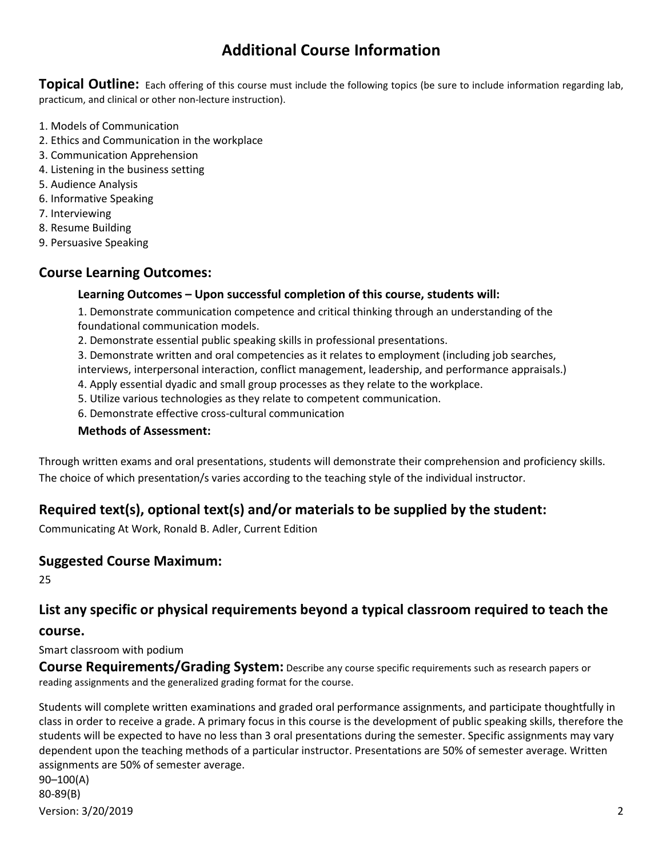## **Additional Course Information**

**Topical Outline:** Each offering of this course must include the following topics (be sure to include information regarding lab, practicum, and clinical or other non-lecture instruction).

- 1. Models of Communication
- 2. Ethics and Communication in the workplace
- 3. Communication Apprehension
- 4. Listening in the business setting
- 5. Audience Analysis
- 6. Informative Speaking
- 7. Interviewing
- 8. Resume Building
- 9. Persuasive Speaking

### **Course Learning Outcomes:**

#### **Learning Outcomes – Upon successful completion of this course, students will:**

1. Demonstrate communication competence and critical thinking through an understanding of the foundational communication models.

2. Demonstrate essential public speaking skills in professional presentations.

3. Demonstrate written and oral competencies as it relates to employment (including job searches, interviews, interpersonal interaction, conflict management, leadership, and performance appraisals.)

- 4. Apply essential dyadic and small group processes as they relate to the workplace.
- 5. Utilize various technologies as they relate to competent communication.
- 6. Demonstrate effective cross-cultural communication

#### **Methods of Assessment:**

Through written exams and oral presentations, students will demonstrate their comprehension and proficiency skills. The choice of which presentation/s varies according to the teaching style of the individual instructor.

## **Required text(s), optional text(s) and/or materials to be supplied by the student:**

Communicating At Work, Ronald B. Adler, Current Edition

#### **Suggested Course Maximum:**

25

## **List any specific or physical requirements beyond a typical classroom required to teach the**

#### **course.**

Smart classroom with podium

**Course Requirements/Grading System:** Describe any course specific requirements such as research papers or reading assignments and the generalized grading format for the course.

Students will complete written examinations and graded oral performance assignments, and participate thoughtfully in class in order to receive a grade. A primary focus in this course is the development of public speaking skills, therefore the students will be expected to have no less than 3 oral presentations during the semester. Specific assignments may vary dependent upon the teaching methods of a particular instructor. Presentations are 50% of semester average. Written assignments are 50% of semester average. 90–100(A)